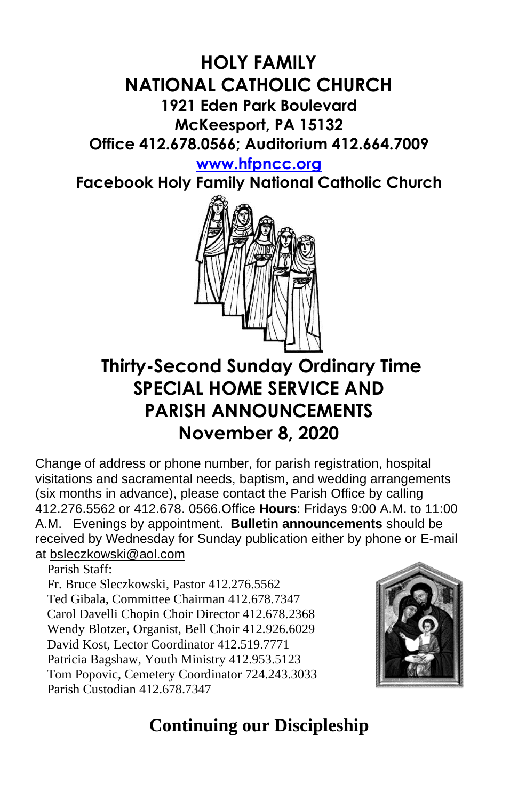### **HOLY FAMILY NATIONAL CATHOLIC CHURCH 1921 Eden Park Boulevard McKeesport, PA 15132 Office 412.678.0566; Auditorium 412.664.7009**

**[www.hfpncc.org](http://www.hfpncc.org/)**

**Facebook Holy Family National Catholic Church**



# **Thirty-Second Sunday Ordinary Time SPECIAL HOME SERVICE AND PARISH ANNOUNCEMENTS November 8, 2020**

Change of address or phone number, for parish registration, hospital visitations and sacramental needs, baptism, and wedding arrangements (six months in advance), please contact the Parish Office by calling 412.276.5562 or 412.678. 0566.Office **Hours**: Fridays 9:00 A.M. to 11:00 A.M. Evenings by appointment. **Bulletin announcements** should be received by Wednesday for Sunday publication either by phone or E-mail at [bsleczkowski@aol.com](mailto:bsleczkowski@aol.com)

Parish Staff:

Fr. Bruce Sleczkowski, Pastor 412.276.5562 Ted Gibala, Committee Chairman 412.678.7347 Carol Davelli Chopin Choir Director 412.678.2368 Wendy Blotzer, Organist, Bell Choir 412.926.6029 David Kost, Lector Coordinator 412.519.7771 Patricia Bagshaw, Youth Ministry 412.953.5123 Tom Popovic, Cemetery Coordinator 724.243.3033 Parish Custodian 412.678.7347



## **Continuing our Discipleship**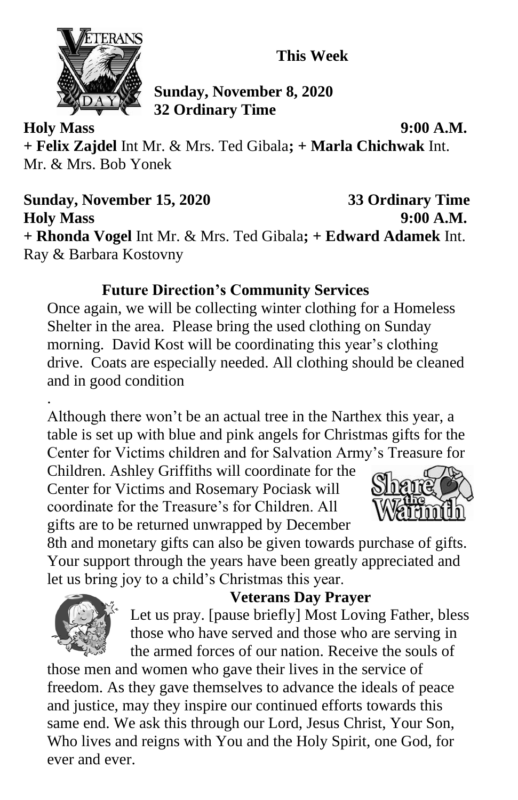**This Week**



**Sunday, November 8, 2020 32 Ordinary Time**

**Holy Mass 9:00 A.M. + Felix Zajdel** Int Mr. & Mrs. Ted Gibala**; + Marla Chichwak** Int. Mr. & Mrs. Bob Yonek

**Sunday, November 15, 2020 33 Ordinary Time Holy Mass 9:00 A.M. + Rhonda Vogel** Int Mr. & Mrs. Ted Gibala**; + Edward Adamek** Int. Ray & Barbara Kostovny

#### **Future Direction's Community Services**

Once again, we will be collecting winter clothing for a Homeless Shelter in the area. Please bring the used clothing on Sunday morning. David Kost will be coordinating this year's clothing drive. Coats are especially needed. All clothing should be cleaned and in good condition

. Although there won't be an actual tree in the Narthex this year, a table is set up with blue and pink angels for Christmas gifts for the Center for Victims children and for Salvation Army's Treasure for

Children. Ashley Griffiths will coordinate for the Center for Victims and Rosemary Pociask will coordinate for the Treasure's for Children. All gifts are to be returned unwrapped by December



8th and monetary gifts can also be given towards purchase of gifts. Your support through the years have been greatly appreciated and let us bring joy to a child's Christmas this year.



#### **Veterans Day Prayer**

Let us pray. [pause briefly] Most Loving Father, bless those who have served and those who are serving in the armed forces of our nation. Receive the souls of

those men and women who gave their lives in the service of freedom. As they gave themselves to advance the ideals of peace and justice, may they inspire our continued efforts towards this same end. We ask this through our Lord, Jesus Christ, Your Son, Who lives and reigns with You and the Holy Spirit, one God, for ever and ever.